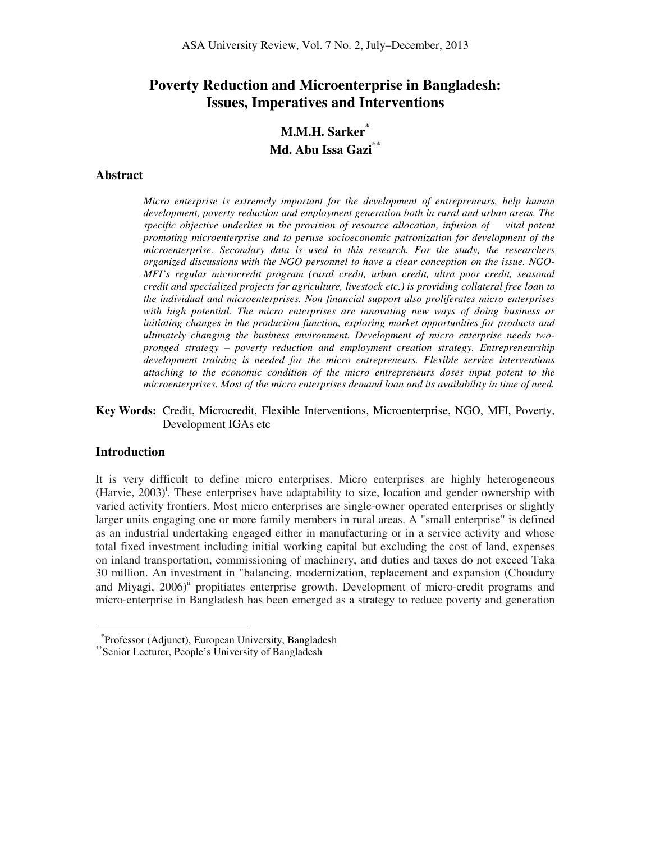# **Poverty Reduction and Microenterprise in Bangladesh: Issues, Imperatives and Interventions**

# **M.M.H. Sarker\* Md. Abu Issa Gazi\*\***

#### **Abstract**

*Micro enterprise is extremely important for the development of entrepreneurs, help human development, poverty reduction and employment generation both in rural and urban areas. The specific objective underlies in the provision of resource allocation, infusion of vital potent promoting microenterprise and to peruse socioeconomic patronization for development of the microenterprise. Secondary data is used in this research. For the study, the researchers organized discussions with the NGO personnel to have a clear conception on the issue. NGO-MFI's regular microcredit program (rural credit, urban credit, ultra poor credit, seasonal credit and specialized projects for agriculture, livestock etc.) is providing collateral free loan to the individual and microenterprises. Non financial support also proliferates micro enterprises with high potential. The micro enterprises are innovating new ways of doing business or initiating changes in the production function, exploring market opportunities for products and ultimately changing the business environment. Development of micro enterprise needs twopronged strategy – poverty reduction and employment creation strategy. Entrepreneurship development training is needed for the micro entrepreneurs. Flexible service interventions attaching to the economic condition of the micro entrepreneurs doses input potent to the microenterprises. Most of the micro enterprises demand loan and its availability in time of need.* 

**Key Words:** Credit, Microcredit, Flexible Interventions, Microenterprise, NGO, MFI, Poverty, Development IGAs etc

#### **Introduction**

 $\overline{a}$ 

It is very difficult to define micro enterprises. Micro enterprises are highly heterogeneous (Harvie, 2003)<sup>i</sup>. These enterprises have adaptability to size, location and gender ownership with varied activity frontiers. Most micro enterprises are single-owner operated enterprises or slightly larger units engaging one or more family members in rural areas. A "small enterprise" is defined as an industrial undertaking engaged either in manufacturing or in a service activity and whose total fixed investment including initial working capital but excluding the cost of land, expenses on inland transportation, commissioning of machinery, and duties and taxes do not exceed Taka 30 million. An investment in "balancing, modernization, replacement and expansion (Choudury and Miyagi,  $2006$ <sup>ii</sup> propitiates enterprise growth. Development of micro-credit programs and micro-enterprise in Bangladesh has been emerged as a strategy to reduce poverty and generation

<sup>\*</sup> Professor (Adjunct), European University, Bangladesh

<sup>\*\*</sup>Senior Lecturer, People's University of Bangladesh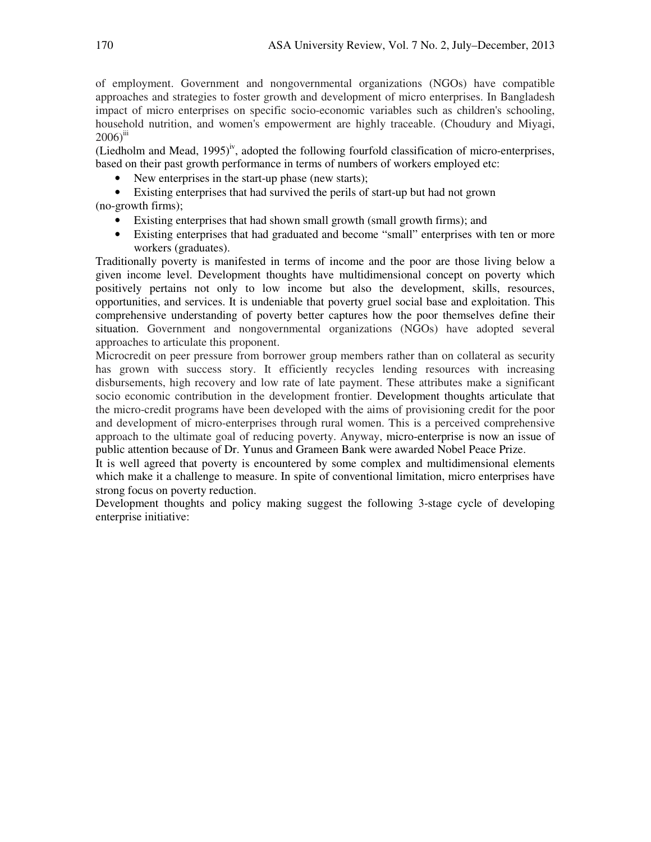of employment. Government and nongovernmental organizations (NGOs) have compatible approaches and strategies to foster growth and development of micro enterprises. In Bangladesh impact of micro enterprises on specific socio-economic variables such as children's schooling, household nutrition, and women's empowerment are highly traceable. (Choudury and Miyagi,  $2006$ <sup>iii</sup>

(Liedholm and Mead,  $1995$ <sup>iv</sup>, adopted the following fourfold classification of micro-enterprises, based on their past growth performance in terms of numbers of workers employed etc:

- New enterprises in the start-up phase (new starts);
- Existing enterprises that had survived the perils of start-up but had not grown (no-growth firms);
	- Existing enterprises that had shown small growth (small growth firms); and
	- Existing enterprises that had graduated and become "small" enterprises with ten or more workers (graduates).

Traditionally poverty is manifested in terms of income and the poor are those living below a given income level. Development thoughts have multidimensional concept on poverty which positively pertains not only to low income but also the development, skills, resources, opportunities, and services. It is undeniable that poverty gruel social base and exploitation. This comprehensive understanding of poverty better captures how the poor themselves define their situation. Government and nongovernmental organizations (NGOs) have adopted several approaches to articulate this proponent.

Microcredit on peer pressure from borrower group members rather than on collateral as security has grown with success story. It efficiently recycles lending resources with increasing disbursements, high recovery and low rate of late payment. These attributes make a significant socio economic contribution in the development frontier. Development thoughts articulate that the micro-credit programs have been developed with the aims of provisioning credit for the poor and development of micro-enterprises through rural women. This is a perceived comprehensive approach to the ultimate goal of reducing poverty. Anyway, micro-enterprise is now an issue of public attention because of Dr. Yunus and Grameen Bank were awarded Nobel Peace Prize.

It is well agreed that poverty is encountered by some complex and multidimensional elements which make it a challenge to measure. In spite of conventional limitation, micro enterprises have strong focus on poverty reduction.

Development thoughts and policy making suggest the following 3-stage cycle of developing enterprise initiative: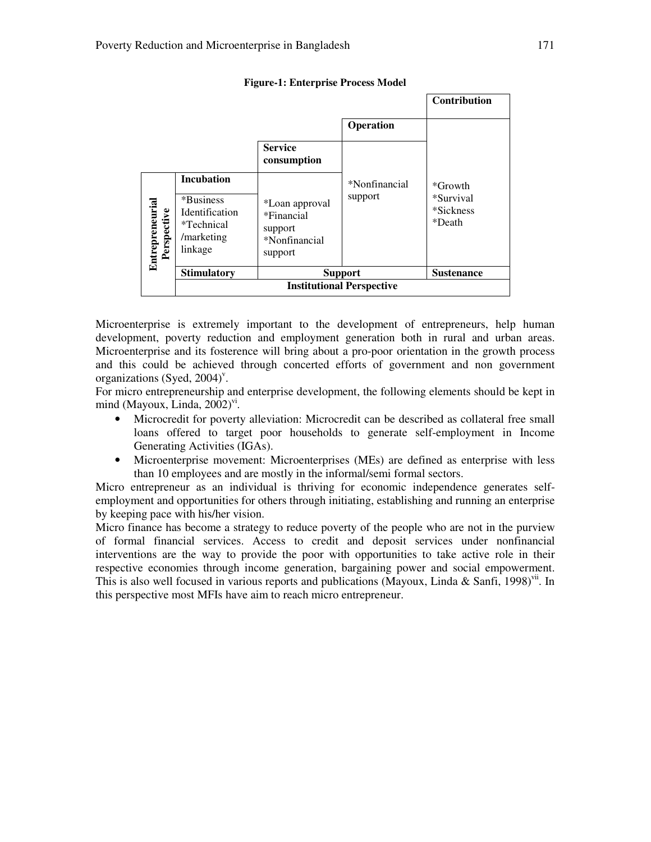|                                |                                                                            |                                                                     |               | <b>Contribution</b>                          |
|--------------------------------|----------------------------------------------------------------------------|---------------------------------------------------------------------|---------------|----------------------------------------------|
|                                |                                                                            |                                                                     | Operation     |                                              |
|                                |                                                                            | <b>Service</b><br>consumption                                       |               |                                              |
|                                | <b>Incubation</b>                                                          |                                                                     | *Nonfinancial | *Growth<br>*Survival<br>*Sickness*<br>*Death |
| Entrepreneurial<br>Perspective | *Business*<br><b>Identification</b><br>*Technical<br>/marketing<br>linkage | *Loan approval<br>*Financial<br>support<br>*Nonfinancial<br>support | support       |                                              |
|                                | <b>Stimulatory</b>                                                         | <b>Support</b>                                                      |               | <b>Sustenance</b>                            |
|                                | <b>Institutional Perspective</b>                                           |                                                                     |               |                                              |

#### **Figure-1: Enterprise Process Model**

Microenterprise is extremely important to the development of entrepreneurs, help human development, poverty reduction and employment generation both in rural and urban areas. Microenterprise and its fosterence will bring about a pro-poor orientation in the growth process and this could be achieved through concerted efforts of government and non government organizations (Syed,  $2004$ )<sup>v</sup>.

For micro entrepreneurship and enterprise development, the following elements should be kept in mind (Mayoux, Linda,  $2002$ )<sup>vi</sup>.

- Microcredit for poverty alleviation: Microcredit can be described as collateral free small loans offered to target poor households to generate self-employment in Income Generating Activities (IGAs).
- Microenterprise movement: Microenterprises (MEs) are defined as enterprise with less than 10 employees and are mostly in the informal/semi formal sectors.

Micro entrepreneur as an individual is thriving for economic independence generates selfemployment and opportunities for others through initiating, establishing and running an enterprise by keeping pace with his/her vision.

Micro finance has become a strategy to reduce poverty of the people who are not in the purview of formal financial services. Access to credit and deposit services under nonfinancial interventions are the way to provide the poor with opportunities to take active role in their respective economies through income generation, bargaining power and social empowerment. This is also well focused in various reports and publications (Mayoux, Linda & Sanfi, 1998)<sup>vii</sup>. In this perspective most MFIs have aim to reach micro entrepreneur.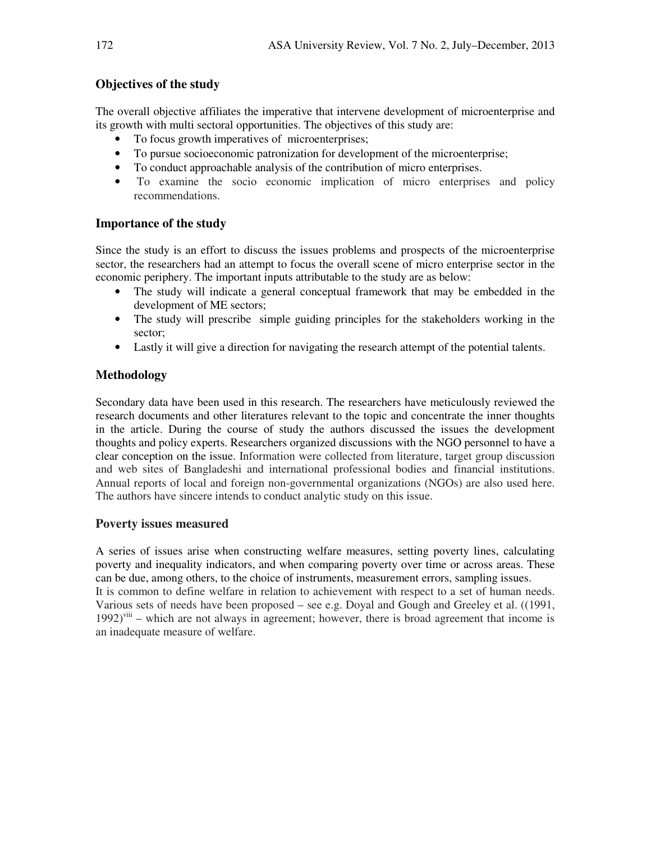# **Objectives of the study**

The overall objective affiliates the imperative that intervene development of microenterprise and its growth with multi sectoral opportunities. The objectives of this study are:

- To focus growth imperatives of microenterprises;
- To pursue socioeconomic patronization for development of the microenterprise;
- To conduct approachable analysis of the contribution of micro enterprises.
- To examine the socio economic implication of micro enterprises and policy recommendations.

# **Importance of the study**

Since the study is an effort to discuss the issues problems and prospects of the microenterprise sector, the researchers had an attempt to focus the overall scene of micro enterprise sector in the economic periphery. The important inputs attributable to the study are as below:

- The study will indicate a general conceptual framework that may be embedded in the development of ME sectors;
- The study will prescribe simple guiding principles for the stakeholders working in the sector;
- Lastly it will give a direction for navigating the research attempt of the potential talents.

# **Methodology**

Secondary data have been used in this research. The researchers have meticulously reviewed the research documents and other literatures relevant to the topic and concentrate the inner thoughts in the article. During the course of study the authors discussed the issues the development thoughts and policy experts. Researchers organized discussions with the NGO personnel to have a clear conception on the issue. Information were collected from literature, target group discussion and web sites of Bangladeshi and international professional bodies and financial institutions. Annual reports of local and foreign non-governmental organizations (NGOs) are also used here. The authors have sincere intends to conduct analytic study on this issue.

## **Poverty issues measured**

A series of issues arise when constructing welfare measures, setting poverty lines, calculating poverty and inequality indicators, and when comparing poverty over time or across areas. These can be due, among others, to the choice of instruments, measurement errors, sampling issues. It is common to define welfare in relation to achievement with respect to a set of human needs. Various sets of needs have been proposed – see e.g. Doyal and Gough and Greeley et al.  $((1991,$  $1992$ <sup>viii</sup> – which are not always in agreement; however, there is broad agreement that income is an inadequate measure of welfare.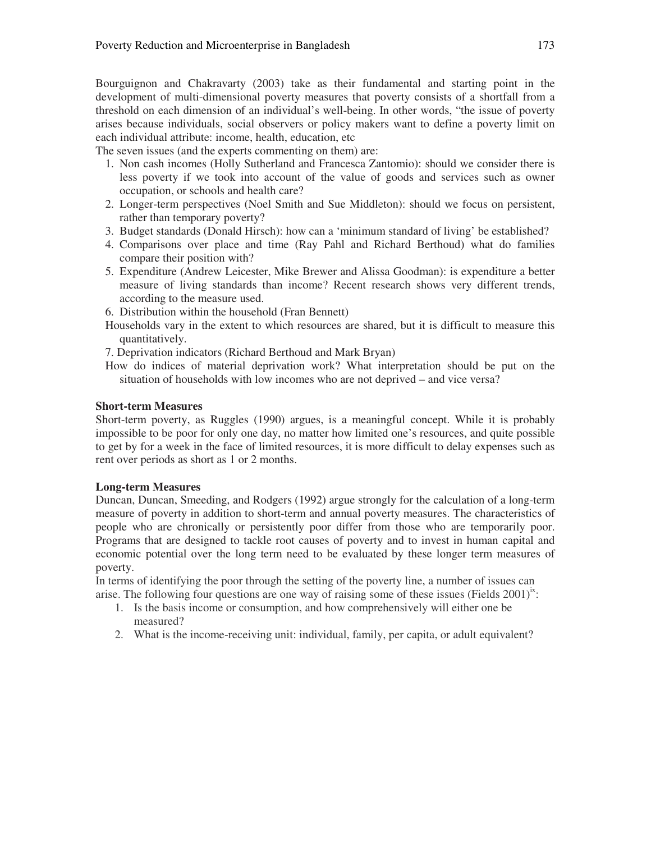Bourguignon and Chakravarty (2003) take as their fundamental and starting point in the development of multi-dimensional poverty measures that poverty consists of a shortfall from a threshold on each dimension of an individual's well-being. In other words, "the issue of poverty arises because individuals, social observers or policy makers want to define a poverty limit on each individual attribute: income, health, education, etc

The seven issues (and the experts commenting on them) are:

- 1. Non cash incomes (Holly Sutherland and Francesca Zantomio): should we consider there is less poverty if we took into account of the value of goods and services such as owner occupation, or schools and health care?
- 2. Longer-term perspectives (Noel Smith and Sue Middleton): should we focus on persistent, rather than temporary poverty?
- 3. Budget standards (Donald Hirsch): how can a 'minimum standard of living' be established?
- 4. Comparisons over place and time (Ray Pahl and Richard Berthoud) what do families compare their position with?
- 5. Expenditure (Andrew Leicester, Mike Brewer and Alissa Goodman): is expenditure a better measure of living standards than income? Recent research shows very different trends, according to the measure used.
- 6. Distribution within the household (Fran Bennett)
- Households vary in the extent to which resources are shared, but it is difficult to measure this quantitatively.
- 7. Deprivation indicators (Richard Berthoud and Mark Bryan)
- How do indices of material deprivation work? What interpretation should be put on the situation of households with low incomes who are not deprived – and vice versa?

### **Short-term Measures**

Short-term poverty, as Ruggles (1990) argues, is a meaningful concept. While it is probably impossible to be poor for only one day, no matter how limited one's resources, and quite possible to get by for a week in the face of limited resources, it is more difficult to delay expenses such as rent over periods as short as 1 or 2 months.

### **Long-term Measures**

Duncan, Duncan, Smeeding, and Rodgers (1992) argue strongly for the calculation of a long-term measure of poverty in addition to short-term and annual poverty measures. The characteristics of people who are chronically or persistently poor differ from those who are temporarily poor. Programs that are designed to tackle root causes of poverty and to invest in human capital and economic potential over the long term need to be evaluated by these longer term measures of poverty.

In terms of identifying the poor through the setting of the poverty line, a number of issues can arise. The following four questions are one way of raising some of these issues (Fields  $2001$ )<sup>x</sup>:

- 1. Is the basis income or consumption, and how comprehensively will either one be measured?
- 2. What is the income-receiving unit: individual, family, per capita, or adult equivalent?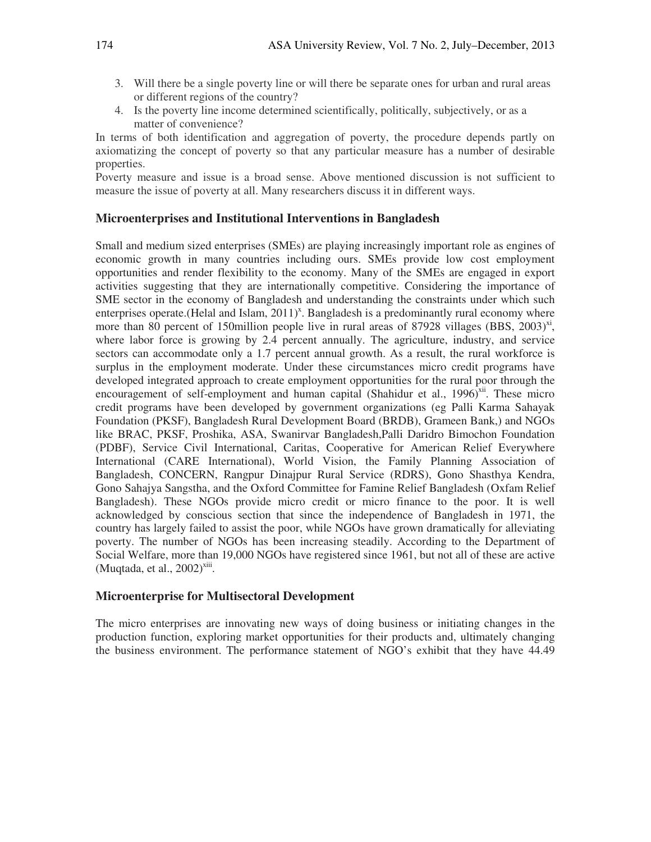- 3. Will there be a single poverty line or will there be separate ones for urban and rural areas or different regions of the country?
- 4. Is the poverty line income determined scientifically, politically, subjectively, or as a matter of convenience?

In terms of both identification and aggregation of poverty, the procedure depends partly on axiomatizing the concept of poverty so that any particular measure has a number of desirable properties.

Poverty measure and issue is a broad sense. Above mentioned discussion is not sufficient to measure the issue of poverty at all. Many researchers discuss it in different ways.

### **Microenterprises and Institutional Interventions in Bangladesh**

Small and medium sized enterprises (SMEs) are playing increasingly important role as engines of economic growth in many countries including ours. SMEs provide low cost employment opportunities and render flexibility to the economy. Many of the SMEs are engaged in export activities suggesting that they are internationally competitive. Considering the importance of SME sector in the economy of Bangladesh and understanding the constraints under which such enterprises operate. (Helal and Islam, 2011)<sup>x</sup>. Bangladesh is a predominantly rural economy where more than 80 percent of 150million people live in rural areas of 87928 villages (BBS, 2003)<sup>xi</sup>, where labor force is growing by 2.4 percent annually. The agriculture, industry, and service sectors can accommodate only a 1.7 percent annual growth. As a result, the rural workforce is surplus in the employment moderate. Under these circumstances micro credit programs have developed integrated approach to create employment opportunities for the rural poor through the encouragement of self-employment and human capital (Shahidur et al.,  $1996$ <sup>xii</sup>. These micro credit programs have been developed by government organizations (eg Palli Karma Sahayak Foundation (PKSF), Bangladesh Rural Development Board (BRDB), Grameen Bank,) and NGOs like BRAC, PKSF, Proshika, ASA, Swanirvar Bangladesh,Palli Daridro Bimochon Foundation (PDBF), Service Civil International, Caritas, Cooperative for American Relief Everywhere International (CARE International), World Vision, the Family Planning Association of Bangladesh, CONCERN, Rangpur Dinajpur Rural Service (RDRS), Gono Shasthya Kendra, Gono Sahajya Sangstha, and the Oxford Committee for Famine Relief Bangladesh (Oxfam Relief Bangladesh). These NGOs provide micro credit or micro finance to the poor. It is well acknowledged by conscious section that since the independence of Bangladesh in 1971, the country has largely failed to assist the poor, while NGOs have grown dramatically for alleviating poverty. The number of NGOs has been increasing steadily. According to the Department of Social Welfare, more than 19,000 NGOs have registered since 1961, but not all of these are active  $(Muqtada, et al., 2002)<sup>xiii</sup>.$ 

### **Microenterprise for Multisectoral Development**

The micro enterprises are innovating new ways of doing business or initiating changes in the production function, exploring market opportunities for their products and, ultimately changing the business environment. The performance statement of NGO's exhibit that they have 44.49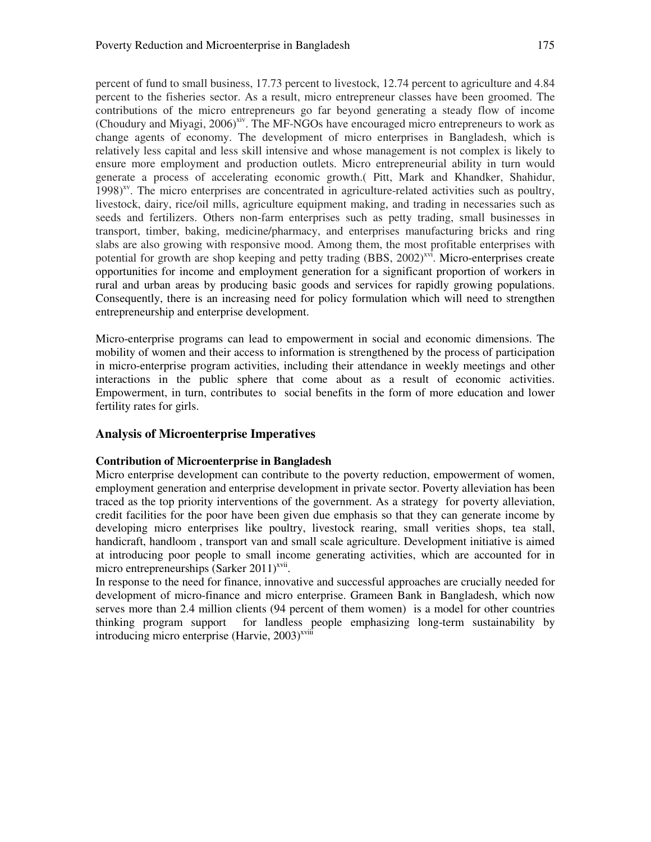percent of fund to small business, 17.73 percent to livestock, 12.74 percent to agriculture and 4.84 percent to the fisheries sector. As a result, micro entrepreneur classes have been groomed. The contributions of the micro entrepreneurs go far beyond generating a steady flow of income (Choudury and Miyagi,  $2006$ <sup>yiv</sup>. The MF-NGOs have encouraged micro entrepreneurs to work as change agents of economy. The development of micro enterprises in Bangladesh, which is relatively less capital and less skill intensive and whose management is not complex is likely to ensure more employment and production outlets. Micro entrepreneurial ability in turn would generate a process of accelerating economic growth.( Pitt, Mark and Khandker, Shahidur,  $1998$ <sup>xv</sup>. The micro enterprises are concentrated in agriculture-related activities such as poultry, livestock, dairy, rice/oil mills, agriculture equipment making, and trading in necessaries such as seeds and fertilizers. Others non-farm enterprises such as petty trading, small businesses in transport, timber, baking, medicine/pharmacy, and enterprises manufacturing bricks and ring slabs are also growing with responsive mood. Among them, the most profitable enterprises with potential for growth are shop keeping and petty trading (BBS, 2002)<sup>xvi</sup>. Micro-enterprises create opportunities for income and employment generation for a significant proportion of workers in rural and urban areas by producing basic goods and services for rapidly growing populations. Consequently, there is an increasing need for policy formulation which will need to strengthen entrepreneurship and enterprise development.

Micro-enterprise programs can lead to empowerment in social and economic dimensions. The mobility of women and their access to information is strengthened by the process of participation in micro-enterprise program activities, including their attendance in weekly meetings and other interactions in the public sphere that come about as a result of economic activities. Empowerment, in turn, contributes to social benefits in the form of more education and lower fertility rates for girls.

## **Analysis of Microenterprise Imperatives**

### **Contribution of Microenterprise in Bangladesh**

Micro enterprise development can contribute to the poverty reduction, empowerment of women, employment generation and enterprise development in private sector. Poverty alleviation has been traced as the top priority interventions of the government. As a strategy for poverty alleviation, credit facilities for the poor have been given due emphasis so that they can generate income by developing micro enterprises like poultry, livestock rearing, small verities shops, tea stall, handicraft, handloom , transport van and small scale agriculture. Development initiative is aimed at introducing poor people to small income generating activities, which are accounted for in micro entrepreneurships (Sarker  $2011$ )<sup>xvii</sup>.

In response to the need for finance, innovative and successful approaches are crucially needed for development of micro-finance and micro enterprise. Grameen Bank in Bangladesh, which now serves more than 2.4 million clients (94 percent of them women) is a model for other countries thinking program support for landless people emphasizing long-term sustainability by introducing micro enterprise (Harvie,  $2003$ )<sup>xviii</sup>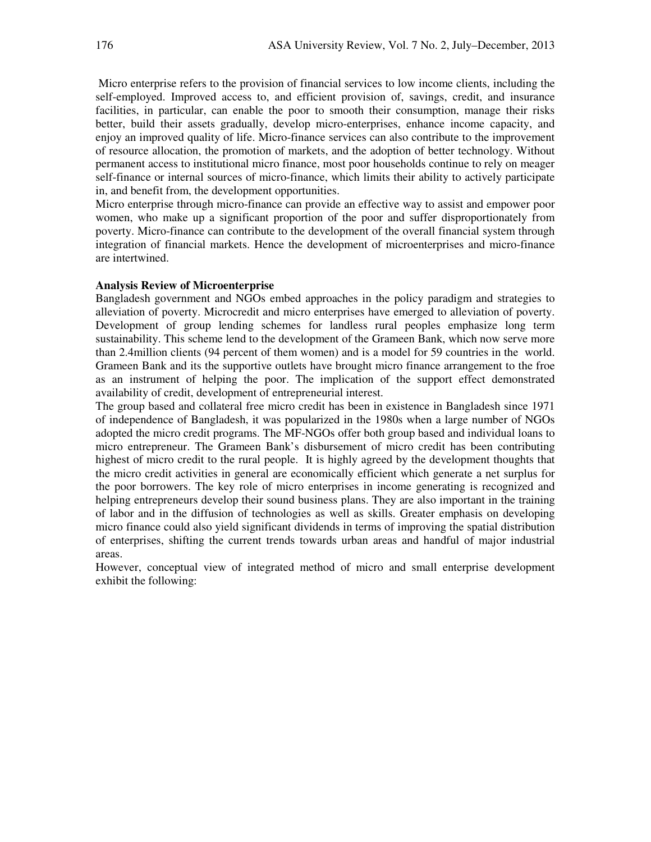Micro enterprise refers to the provision of financial services to low income clients, including the self-employed. Improved access to, and efficient provision of, savings, credit, and insurance facilities, in particular, can enable the poor to smooth their consumption, manage their risks better, build their assets gradually, develop micro-enterprises, enhance income capacity, and enjoy an improved quality of life. Micro-finance services can also contribute to the improvement of resource allocation, the promotion of markets, and the adoption of better technology. Without permanent access to institutional micro finance, most poor households continue to rely on meager self-finance or internal sources of micro-finance, which limits their ability to actively participate in, and benefit from, the development opportunities.

Micro enterprise through micro-finance can provide an effective way to assist and empower poor women, who make up a significant proportion of the poor and suffer disproportionately from poverty. Micro-finance can contribute to the development of the overall financial system through integration of financial markets. Hence the development of microenterprises and micro-finance are intertwined.

#### **Analysis Review of Microenterprise**

Bangladesh government and NGOs embed approaches in the policy paradigm and strategies to alleviation of poverty. Microcredit and micro enterprises have emerged to alleviation of poverty. Development of group lending schemes for landless rural peoples emphasize long term sustainability. This scheme lend to the development of the Grameen Bank, which now serve more than 2.4million clients (94 percent of them women) and is a model for 59 countries in the world. Grameen Bank and its the supportive outlets have brought micro finance arrangement to the froe as an instrument of helping the poor. The implication of the support effect demonstrated availability of credit, development of entrepreneurial interest.

The group based and collateral free micro credit has been in existence in Bangladesh since 1971 of independence of Bangladesh, it was popularized in the 1980s when a large number of NGOs adopted the micro credit programs. The MF-NGOs offer both group based and individual loans to micro entrepreneur. The Grameen Bank's disbursement of micro credit has been contributing highest of micro credit to the rural people. It is highly agreed by the development thoughts that the micro credit activities in general are economically efficient which generate a net surplus for the poor borrowers. The key role of micro enterprises in income generating is recognized and helping entrepreneurs develop their sound business plans. They are also important in the training of labor and in the diffusion of technologies as well as skills. Greater emphasis on developing micro finance could also yield significant dividends in terms of improving the spatial distribution of enterprises, shifting the current trends towards urban areas and handful of major industrial areas.

However, conceptual view of integrated method of micro and small enterprise development exhibit the following: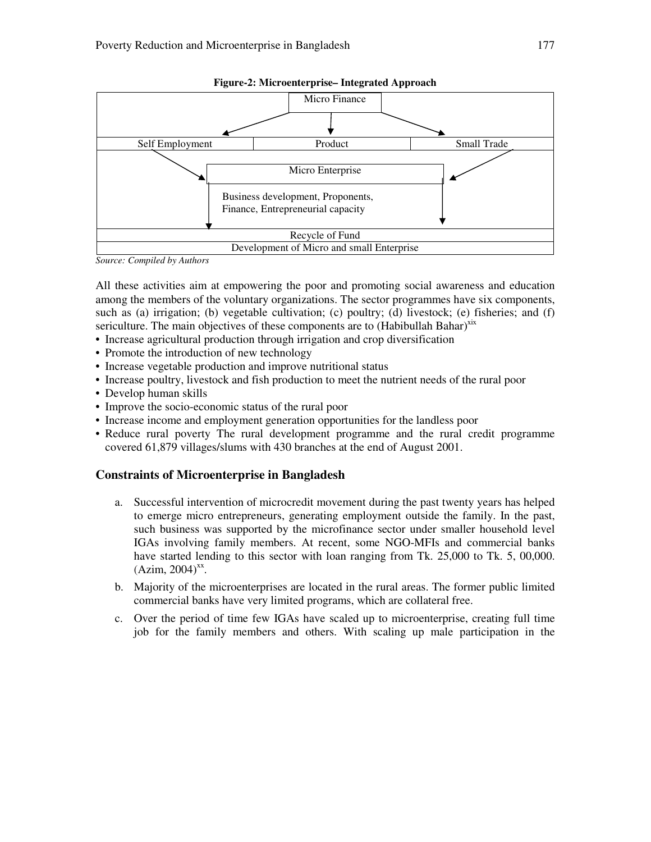



*Source: Compiled by Authors* 

All these activities aim at empowering the poor and promoting social awareness and education among the members of the voluntary organizations. The sector programmes have six components, such as (a) irrigation; (b) vegetable cultivation; (c) poultry; (d) livestock; (e) fisheries; and (f) sericulture. The main objectives of these components are to (Habibullah Bahar)<sup>xix</sup>

- Increase agricultural production through irrigation and crop diversification
- Promote the introduction of new technology
- Increase vegetable production and improve nutritional status
- Increase poultry, livestock and fish production to meet the nutrient needs of the rural poor
- Develop human skills
- Improve the socio-economic status of the rural poor
- Increase income and employment generation opportunities for the landless poor
- Reduce rural poverty The rural development programme and the rural credit programme covered 61,879 villages/slums with 430 branches at the end of August 2001.

### **Constraints of Microenterprise in Bangladesh**

- a.Successful intervention of microcredit movement during the past twenty years has helped to emerge micro entrepreneurs, generating employment outside the family. In the past, such business was supported by the microfinance sector under smaller household level IGAs involving family members. At recent, some NGO-MFIs and commercial banks have started lending to this sector with loan ranging from Tk. 25,000 to Tk. 5, 00,000.  $(Azim, 2004)^{xx}$ .
- b.Majority of the microenterprises are located in the rural areas. The former public limited commercial banks have very limited programs, which are collateral free.
- c.Over the period of time few IGAs have scaled up to microenterprise, creating full time job for the family members and others. With scaling up male participation in the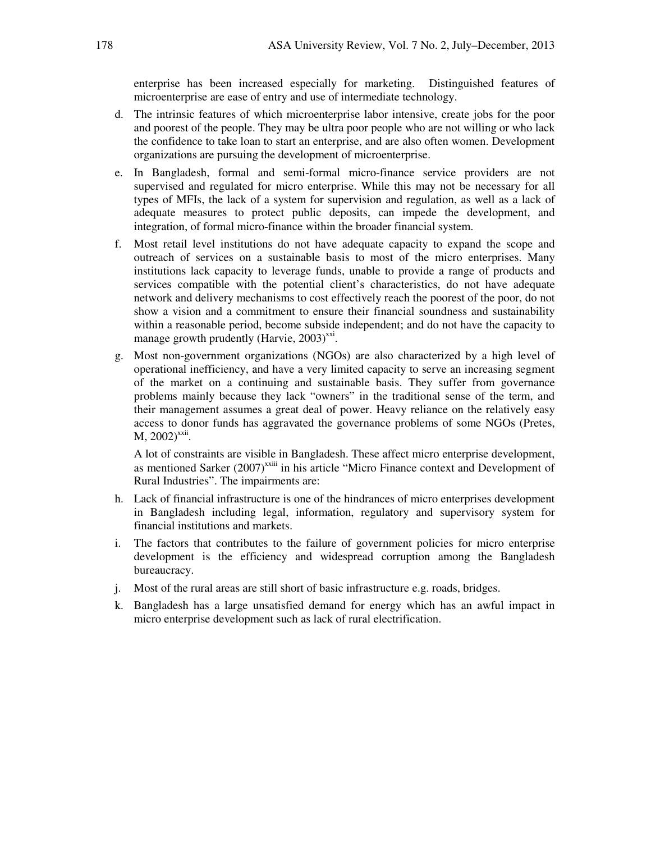enterprise has been increased especially for marketing. Distinguished features of microenterprise are ease of entry and use of intermediate technology.

- d.The intrinsic features of which microenterprise labor intensive, create jobs for the poor and poorest of the people. They may be ultra poor people who are not willing or who lack the confidence to take loan to start an enterprise, and are also often women. Development organizations are pursuing the development of microenterprise.
- e. In Bangladesh, formal and semi-formal micro-finance service providers are not supervised and regulated for micro enterprise. While this may not be necessary for all types of MFIs, the lack of a system for supervision and regulation, as well as a lack of adequate measures to protect public deposits, can impede the development, and integration, of formal micro-finance within the broader financial system.
- f. Most retail level institutions do not have adequate capacity to expand the scope and outreach of services on a sustainable basis to most of the micro enterprises. Many institutions lack capacity to leverage funds, unable to provide a range of products and services compatible with the potential client's characteristics, do not have adequate network and delivery mechanisms to cost effectively reach the poorest of the poor, do not show a vision and a commitment to ensure their financial soundness and sustainability within a reasonable period, become subside independent; and do not have the capacity to manage growth prudently (Harvie,  $2003$ )<sup>xxi</sup>.
- g. Most non-government organizations (NGOs) are also characterized by a high level of operational inefficiency, and have a very limited capacity to serve an increasing segment of the market on a continuing and sustainable basis. They suffer from governance problems mainly because they lack "owners" in the traditional sense of the term, and their management assumes a great deal of power. Heavy reliance on the relatively easy access to donor funds has aggravated the governance problems of some NGOs (Pretes,  $M$ , 2002)<sup>xxii</sup>.

 A lot of constraints are visible in Bangladesh. These affect micro enterprise development, as mentioned Sarker (2007)<sup>xxiii</sup> in his article "Micro Finance context and Development of Rural Industries". The impairments are:

- h. Lack of financial infrastructure is one of the hindrances of micro enterprises development in Bangladesh including legal, information, regulatory and supervisory system for financial institutions and markets.
- i. The factors that contributes to the failure of government policies for micro enterprise development is the efficiency and widespread corruption among the Bangladesh bureaucracy.
- j. Most of the rural areas are still short of basic infrastructure e.g. roads, bridges.
- k. Bangladesh has a large unsatisfied demand for energy which has an awful impact in micro enterprise development such as lack of rural electrification.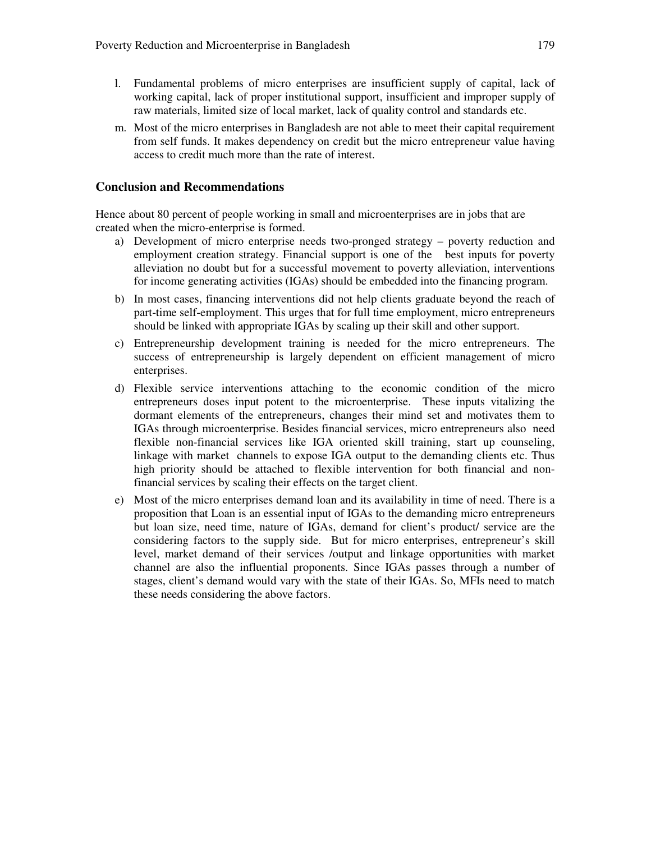- l. Fundamental problems of micro enterprises are insufficient supply of capital, lack of working capital, lack of proper institutional support, insufficient and improper supply of raw materials, limited size of local market, lack of quality control and standards etc.
- m. Most of the micro enterprises in Bangladesh are not able to meet their capital requirement from self funds. It makes dependency on credit but the micro entrepreneur value having access to credit much more than the rate of interest.

### **Conclusion and Recommendations**

Hence about 80 percent of people working in small and microenterprises are in jobs that are created when the micro-enterprise is formed.

- a) Development of micro enterprise needs two-pronged strategy poverty reduction and employment creation strategy. Financial support is one of the best inputs for poverty alleviation no doubt but for a successful movement to poverty alleviation, interventions for income generating activities (IGAs) should be embedded into the financing program.
- b) In most cases, financing interventions did not help clients graduate beyond the reach of part-time self-employment. This urges that for full time employment, micro entrepreneurs should be linked with appropriate IGAs by scaling up their skill and other support.
- c) Entrepreneurship development training is needed for the micro entrepreneurs. The success of entrepreneurship is largely dependent on efficient management of micro enterprises.
- d) Flexible service interventions attaching to the economic condition of the micro entrepreneurs doses input potent to the microenterprise. These inputs vitalizing the dormant elements of the entrepreneurs, changes their mind set and motivates them to IGAs through microenterprise. Besides financial services, micro entrepreneurs also need flexible non-financial services like IGA oriented skill training, start up counseling, linkage with market channels to expose IGA output to the demanding clients etc. Thus high priority should be attached to flexible intervention for both financial and nonfinancial services by scaling their effects on the target client.
- e) Most of the micro enterprises demand loan and its availability in time of need. There is a proposition that Loan is an essential input of IGAs to the demanding micro entrepreneurs but loan size, need time, nature of IGAs, demand for client's product/ service are the considering factors to the supply side. But for micro enterprises, entrepreneur's skill level, market demand of their services /output and linkage opportunities with market channel are also the influential proponents. Since IGAs passes through a number of stages, client's demand would vary with the state of their IGAs. So, MFIs need to match these needs considering the above factors.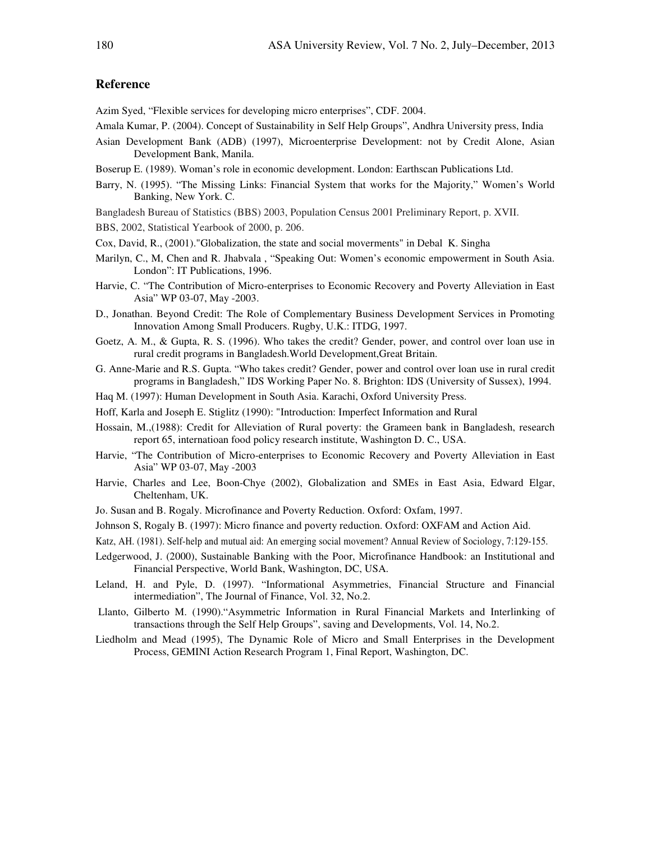### **Reference**

Azim Syed, "Flexible services for developing micro enterprises", CDF. 2004.

- Amala Kumar, P. (2004). Concept of Sustainability in Self Help Groups", Andhra University press, India
- Asian Development Bank (ADB) (1997), Microenterprise Development: not by Credit Alone, Asian Development Bank, Manila.
- Boserup E. (1989). Woman's role in economic development. London: Earthscan Publications Ltd.
- Barry, N. (1995). "The Missing Links: Financial System that works for the Majority," Women's World Banking, New York. C.
- Bangladesh Bureau of Statistics (BBS) 2003, Population Census 2001 Preliminary Report, p. XVII.
- BBS, 2002, Statistical Yearbook of 2000, p. 206.
- Cox, David, R., (2001)."Globalization, the state and social moverments" in Debal K. Singha
- Marilyn, C., M, Chen and R. Jhabvala , "Speaking Out: Women's economic empowerment in South Asia. London": IT Publications, 1996.
- Harvie, C. "The Contribution of Micro-enterprises to Economic Recovery and Poverty Alleviation in East Asia" WP 03-07, May -2003.
- D., Jonathan. Beyond Credit: The Role of Complementary Business Development Services in Promoting Innovation Among Small Producers. Rugby, U.K.: ITDG, 1997.
- Goetz, A. M., & Gupta, R. S. (1996). Who takes the credit? Gender, power, and control over loan use in rural credit programs in Bangladesh.World Development,Great Britain.
- G. Anne-Marie and R.S. Gupta. "Who takes credit? Gender, power and control over loan use in rural credit programs in Bangladesh," IDS Working Paper No. 8. Brighton: IDS (University of Sussex), 1994.
- Haq M. (1997): Human Development in South Asia. Karachi, Oxford University Press.
- Hoff, Karla and Joseph E. Stiglitz (1990): "Introduction: Imperfect Information and Rural
- Hossain, M.,(1988): Credit for Alleviation of Rural poverty: the Grameen bank in Bangladesh, research report 65, internatioan food policy research institute, Washington D. C., USA.
- Harvie, "The Contribution of Micro-enterprises to Economic Recovery and Poverty Alleviation in East Asia" WP 03-07, May -2003
- Harvie, Charles and Lee, Boon-Chye (2002), Globalization and SMEs in East Asia, Edward Elgar, Cheltenham, UK.
- Jo. Susan and B. Rogaly. Microfinance and Poverty Reduction. Oxford: Oxfam, 1997.
- Johnson S, Rogaly B. (1997): Micro finance and poverty reduction. Oxford: OXFAM and Action Aid.
- Katz, AH. (1981). Self-help and mutual aid: An emerging social movement? Annual Review of Sociology, 7:129-155.
- Ledgerwood, J. (2000), Sustainable Banking with the Poor, Microfinance Handbook: an Institutional and Financial Perspective, World Bank, Washington, DC, USA.
- Leland, H. and Pyle, D. (1997). "Informational Asymmetries, Financial Structure and Financial intermediation", The Journal of Finance, Vol. 32, No.2.
- Llanto, Gilberto M. (1990)."Asymmetric Information in Rural Financial Markets and Interlinking of transactions through the Self Help Groups", saving and Developments, Vol. 14, No.2.
- Liedholm and Mead (1995), The Dynamic Role of Micro and Small Enterprises in the Development Process, GEMINI Action Research Program 1, Final Report, Washington, DC.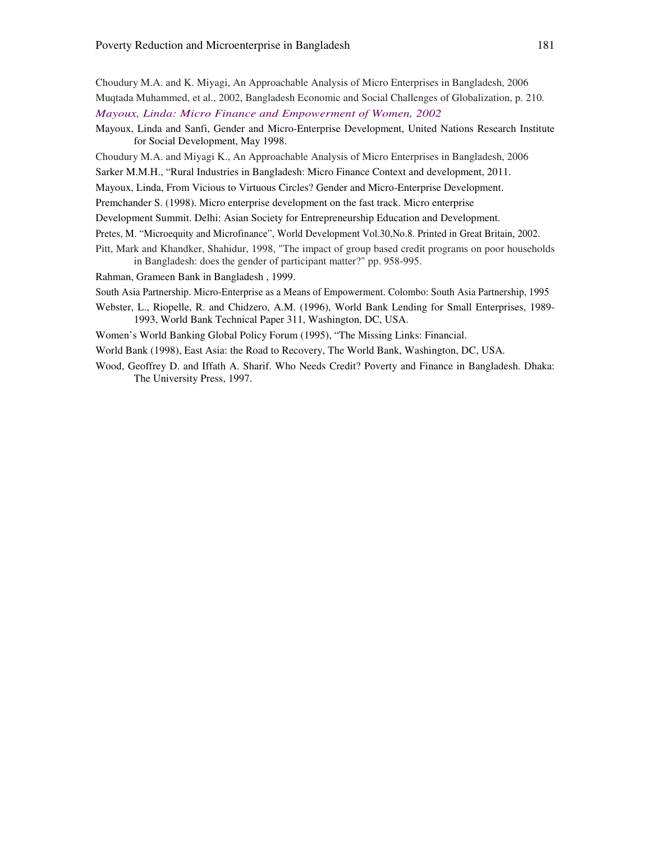Choudury M.A. and K. Miyagi, An Approachable Analysis of Micro Enterprises in Bangladesh, 2006 Muqtada Muhammed, et al., 2002, Bangladesh Economic and Social Challenges of Globalization, p. 210. *Mayoux, Linda: Micro Finance and Empowerment of Women, 2002* 

- Mayoux, Linda and Sanfi, Gender and Micro-Enterprise Development, United Nations Research Institute for Social Development, May 1998.
- Choudury M.A. and Miyagi K., An Approachable Analysis of Micro Enterprises in Bangladesh, 2006

Sarker M.M.H., "Rural Industries in Bangladesh: Micro Finance Context and development, 2011.

Mayoux, Linda, From Vicious to Virtuous Circles? Gender and Micro-Enterprise Development.

Premchander S. (1998). Micro enterprise development on the fast track. Micro enterprise

- Development Summit. Delhi: Asian Society for Entrepreneurship Education and Development.
- Pretes, M. "Microequity and Microfinance", World Development Vol.30,No.8. Printed in Great Britain, 2002.
- Pitt, Mark and Khandker, Shahidur, 1998, "The impact of group based credit programs on poor households in Bangladesh: does the gender of participant matter?" pp. 958-995.

Rahman, Grameen Bank in Bangladesh , 1999.

South Asia Partnership. Micro-Enterprise as a Means of Empowerment. Colombo: South Asia Partnership, 1995

Webster, L., Riopelle, R. and Chidzero, A.M. (1996), World Bank Lending for Small Enterprises, 1989- 1993, World Bank Technical Paper 311, Washington, DC, USA.

Women's World Banking Global Policy Forum (1995), "The Missing Links: Financial.

World Bank (1998), East Asia: the Road to Recovery, The World Bank, Washington, DC, USA.

Wood, Geoffrey D. and Iffath A. Sharif. Who Needs Credit? Poverty and Finance in Bangladesh. Dhaka: The University Press, 1997.